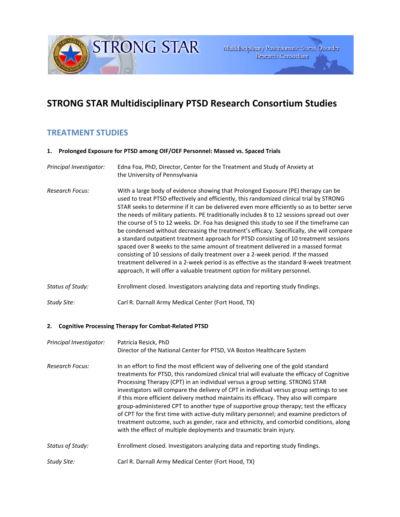Multidisciplinary Posttraumatic Stress Disorder Research Consortium

# **STRONG STAR Multidisciplinary PTSD Research Consortium Studies**

## **TREATMENT STUDIES**

**1. Prolonged Exposure for PTSD among OIF/OEF Personnel: Massed vs. Spaced Trials**

**STRONG STAR** 

*Principal Investigator:* Edna Foa, PhD, Director, Center for the Treatment and Study of Anxiety at the University of Pennsylvania *Research Focus:* With a large body of evidence showing that Prolonged Exposure (PE) therapy can be used to treat PTSD effectively and efficiently, this randomized clinical trial by STRONG STAR seeks to determine if it can be delivered even more efficiently so as to better serve the needs of military patients. PE traditionally includes 8 to 12 sessions spread out over the course of 5 to 12 weeks. Dr. Foa has designed this study to see if the timeframe can be condensed without decreasing the treatment's efficacy. Specifically, she will compare a standard outpatient treatment approach for PTSD consisting of 10 treatment sessions spaced over 8 weeks to the same amount of treatment delivered in a massed format consisting of 10 sessions of daily treatment over a 2-week period. If the massed treatment delivered in a 2-week period is as effective as the standard 8-week treatment approach, it will offer a valuable treatment option for military personnel. *Status of Study:* Enrollment closed. Investigators analyzing data and reporting study findings. *Study Site:* Carl R. Darnall Army Medical Center (Fort Hood, TX)

## **2. Cognitive Processing Therapy for Combat-Related PTSD**

| Principal Investigator: | Patricia Resick, PhD<br>Director of the National Center for PTSD, VA Boston Healthcare System                                                                                                                                                                                                                                                                                                                                                                                                                                                                                                                                                                                                                                                                                                                 |
|-------------------------|---------------------------------------------------------------------------------------------------------------------------------------------------------------------------------------------------------------------------------------------------------------------------------------------------------------------------------------------------------------------------------------------------------------------------------------------------------------------------------------------------------------------------------------------------------------------------------------------------------------------------------------------------------------------------------------------------------------------------------------------------------------------------------------------------------------|
| <b>Research Focus:</b>  | In an effort to find the most efficient way of delivering one of the gold standard<br>treatments for PTSD, this randomized clinical trial will evaluate the efficacy of Cognitive<br>Processing Therapy (CPT) in an individual versus a group setting. STRONG STAR<br>investigators will compare the delivery of CPT in individual versus group settings to see<br>if this more efficient delivery method maintains its efficacy. They also will compare<br>group-administered CPT to another type of supportive group therapy; test the efficacy<br>of CPT for the first time with active-duty military personnel; and examine predictors of<br>treatment outcome, such as gender, race and ethnicity, and comorbid conditions, along<br>with the effect of multiple deployments and traumatic brain injury. |
| Status of Study:        | Enrollment closed. Investigators analyzing data and reporting study findings.                                                                                                                                                                                                                                                                                                                                                                                                                                                                                                                                                                                                                                                                                                                                 |
| Study Site:             | Carl R. Darnall Army Medical Center (Fort Hood, TX)                                                                                                                                                                                                                                                                                                                                                                                                                                                                                                                                                                                                                                                                                                                                                           |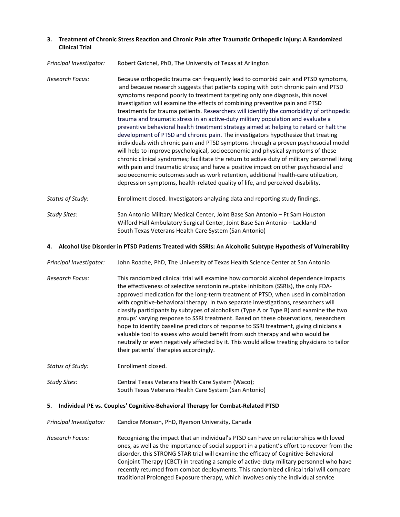### **3. Treatment of Chronic Stress Reaction and Chronic Pain after Traumatic Orthopedic Injury: A Randomized Clinical Trial**

#### *Principal Investigator:* Robert Gatchel, PhD, The University of Texas at Arlington

- *Research Focus:* Because orthopedic trauma can frequently lead to comorbid pain and PTSD symptoms, and because research suggests that patients coping with both chronic pain and PTSD symptoms respond poorly to treatment targeting only one diagnosis, this novel investigation will examine the effects of combining preventive pain and PTSD treatments for trauma patients. Researchers will identify the comorbidity of orthopedic trauma and traumatic stress in an active-duty military population and evaluate a preventive behavioral health treatment strategy aimed at helping to retard or halt the development of PTSD and chronic pain. The investigators hypothesize that treating individuals with chronic pain and PTSD symptoms through a proven psychosocial model will help to improve psychological, socioeconomic and physical symptoms of these chronic clinical syndromes; facilitate the return to active duty of military personnel living with pain and traumatic stress; and have a positive impact on other psychosocial and socioeconomic outcomes such as work retention, additional health-care utilization, depression symptoms, health-related quality of life, and perceived disability.
- *Status of Study:* Enrollment closed. Investigators analyzing data and reporting study findings.
- *Study Sites:* San Antonio Military Medical Center, Joint Base San Antonio Ft Sam Houston Wilford Hall Ambulatory Surgical Center, Joint Base San Antonio – Lackland South Texas Veterans Health Care System (San Antonio)

#### **4. Alcohol Use Disorder in PTSD Patients Treated with SSRIs: An Alcoholic Subtype Hypothesis of Vulnerability**

- *Principal Investigator:* John Roache, PhD, The University of Texas Health Science Center at San Antonio
- *Research Focus:* This randomized clinical trial will examine how comorbid alcohol dependence impacts the effectiveness of selective serotonin reuptake inhibitors (SSRIs), the only FDAapproved medication for the long-term treatment of PTSD, when used in combination with cognitive-behavioral therapy. In two separate investigations, researchers will classify participants by subtypes of alcoholism (Type A or Type B) and examine the two groups' varying response to SSRI treatment. Based on these observations, researchers hope to identify baseline predictors of response to SSRI treatment, giving clinicians a valuable tool to assess who would benefit from such therapy and who would be neutrally or even negatively affected by it. This would allow treating physicians to tailor their patients' therapies accordingly.
- *Status of Study:* Enrollment closed.
- *Study Sites:* Central Texas Veterans Health Care System (Waco); South Texas Veterans Health Care System (San Antonio)

#### **5. Individual PE vs. Couples' Cognitive-Behavioral Therapy for Combat-Related PTSD**

- *Principal Investigator:* Candice Monson, PhD, Ryerson University, Canada
- *Research Focus:* Recognizing the impact that an individual's PTSD can have on relationships with loved ones, as well as the importance of social support in a patient's effort to recover from the disorder, this STRONG STAR trial will examine the efficacy of Cognitive-Behavioral Conjoint Therapy (CBCT) in treating a sample of active-duty military personnel who have recently returned from combat deployments. This randomized clinical trial will compare traditional Prolonged Exposure therapy, which involves only the individual service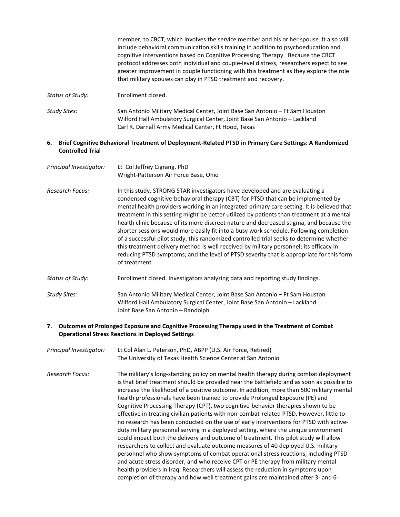|                  | member, to CBCT, which involves the service member and his or her spouse. It also will<br>include behavioral communication skills training in addition to psychoeducation and<br>cognitive interventions based on Cognitive Processing Therapy. Because the CBCT<br>protocol addresses both individual and couple-level distress, researchers expect to see<br>greater improvement in couple functioning with this treatment as they explore the role<br>that military spouses can play in PTSD treatment and recovery. |
|------------------|-------------------------------------------------------------------------------------------------------------------------------------------------------------------------------------------------------------------------------------------------------------------------------------------------------------------------------------------------------------------------------------------------------------------------------------------------------------------------------------------------------------------------|
| Status of Study: | Enrollment closed.                                                                                                                                                                                                                                                                                                                                                                                                                                                                                                      |
| Study Sites:     | San Antonio Military Medical Center, Joint Base San Antonio – Ft Sam Houston<br>Wilford Hall Ambulatory Surgical Center, Joint Base San Antonio - Lackland<br>Carl R. Darnall Army Medical Center, Ft Hood, Texas                                                                                                                                                                                                                                                                                                       |

#### **6. Brief Cognitive Behavioral Treatment of Deployment-Related PTSD in Primary Care Settings: A Randomized Controlled Trial**

| Principal Investigator: | Lt Col Jeffrey Cigrang, PhD<br>Wright-Patterson Air Force Base, Ohio                                                                                                                                                                                                                                                                                                                                                                                                                                                                                                                                                                                                                                                                                                                                                                                |
|-------------------------|-----------------------------------------------------------------------------------------------------------------------------------------------------------------------------------------------------------------------------------------------------------------------------------------------------------------------------------------------------------------------------------------------------------------------------------------------------------------------------------------------------------------------------------------------------------------------------------------------------------------------------------------------------------------------------------------------------------------------------------------------------------------------------------------------------------------------------------------------------|
| Research Focus:         | In this study, STRONG STAR investigators have developed and are evaluating a<br>condensed cognitive-behavioral therapy (CBT) for PTSD that can be implemented by<br>mental health providers working in an integrated primary care setting. It is believed that<br>treatment in this setting might be better utilized by patients than treatment at a mental<br>health clinic because of its more discreet nature and decreased stigma, and because the<br>shorter sessions would more easily fit into a busy work schedule. Following completion<br>of a successful pilot study, this randomized controlled trial seeks to determine whether<br>this treatment delivery method is well received by military personnel; its efficacy in<br>reducing PTSD symptoms; and the level of PTSD severity that is appropriate for this form<br>of treatment. |
| Status of Study:        | Enrollment closed. Investigators analyzing data and reporting study findings.                                                                                                                                                                                                                                                                                                                                                                                                                                                                                                                                                                                                                                                                                                                                                                       |
| Study Sites:            | San Antonio Military Medical Center, Joint Base San Antonio – Ft Sam Houston<br>Wilford Hall Ambulatory Surgical Center, Joint Base San Antonio – Lackland                                                                                                                                                                                                                                                                                                                                                                                                                                                                                                                                                                                                                                                                                          |

### **7. Outcomes of Prolonged Exposure and Cognitive Processing Therapy used in the Treatment of Combat Operational Stress Reactions in Deployed Settings**

*Principal Investigator:* Lt Col Alan L. Peterson, PhD, ABPP (U.S. Air Force, Retired) The University of Texas Health Science Center at San Antonio

Joint Base San Antonio – Randolph

*Research Focus:* The military's long-standing policy on mental health therapy during combat deployment is that brief treatment should be provided near the battlefield and as soon as possible to increase the likelihood of a positive outcome. In addition, more than 500 military mental health professionals have been trained to provide Prolonged Exposure (PE) and Cognitive Processing Therapy (CPT), two cognitive-behavior therapies shown to be effective in treating civilian patients with non-combat-related PTSD. However, little to no research has been conducted on the use of early interventions for PTSD with activeduty military personnel serving in a deployed setting, where the unique environment could impact both the delivery and outcome of treatment. This pilot study will allow researchers to collect and evaluate outcome measures of 40 deployed U.S. military personnel who show symptoms of combat operational stress reactions, including PTSD and acute stress disorder, and who receive CPT or PE therapy from military mental health providers in Iraq. Researchers will assess the reduction in symptoms upon completion of therapy and how well treatment gains are maintained after 3- and 6-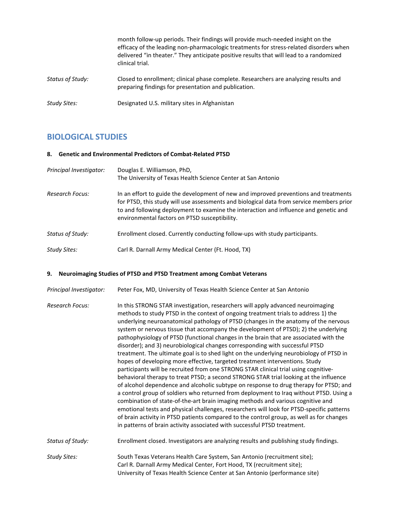|                     | month follow-up periods. Their findings will provide much-needed insight on the<br>efficacy of the leading non-pharmacologic treatments for stress-related disorders when<br>delivered "in theater." They anticipate positive results that will lead to a randomized<br>clinical trial. |
|---------------------|-----------------------------------------------------------------------------------------------------------------------------------------------------------------------------------------------------------------------------------------------------------------------------------------|
| Status of Study:    | Closed to enrollment; clinical phase complete. Researchers are analyzing results and<br>preparing findings for presentation and publication.                                                                                                                                            |
| <b>Study Sites:</b> | Designated U.S. military sites in Afghanistan                                                                                                                                                                                                                                           |

## **BIOLOGICAL STUDIES**

#### **8. Genetic and Environmental Predictors of Combat-Related PTSD**

| Principal Investigator: | Douglas E. Williamson, PhD,<br>The University of Texas Health Science Center at San Antonio                                                                                                                                                                                                                               |
|-------------------------|---------------------------------------------------------------------------------------------------------------------------------------------------------------------------------------------------------------------------------------------------------------------------------------------------------------------------|
| Research Focus:         | In an effort to guide the development of new and improved preventions and treatments<br>for PTSD, this study will use assessments and biological data from service members prior<br>to and following deployment to examine the interaction and influence and genetic and<br>environmental factors on PTSD susceptibility. |
| Status of Study:        | Enrollment closed. Currently conducting follow-ups with study participants.                                                                                                                                                                                                                                               |
| Study Sites:            | Carl R. Darnall Army Medical Center (Ft. Hood, TX)                                                                                                                                                                                                                                                                        |

### **9. Neuroimaging Studies of PTSD and PTSD Treatment among Combat Veterans**

- *Principal Investigator:* Peter Fox, MD, University of Texas Health Science Center at San Antonio
- *Research Focus:* In this STRONG STAR investigation, researchers will apply advanced neuroimaging methods to study PTSD in the context of ongoing treatment trials to address 1) the underlying neuroanatomical pathology of PTSD (changes in the anatomy of the nervous system or nervous tissue that accompany the development of PTSD); 2) the underlying pathophysiology of PTSD (functional changes in the brain that are associated with the disorder); and 3) neurobiological changes corresponding with successful PTSD treatment. The ultimate goal is to shed light on the underlying neurobiology of PTSD in hopes of developing more effective, targeted treatment interventions. Study participants will be recruited from one STRONG STAR clinical trial using cognitivebehavioral therapy to treat PTSD; a second STRONG STAR trial looking at the influence of alcohol dependence and alcoholic subtype on response to drug therapy for PTSD; and a control group of soldiers who returned from deployment to Iraq without PTSD. Using a combination of state-of-the-art brain imaging methods and various cognitive and emotional tests and physical challenges, researchers will look for PTSD-specific patterns of brain activity in PTSD patients compared to the control group, as well as for changes in patterns of brain activity associated with successful PTSD treatment.
- *Status of Study:* Enrollment closed. Investigators are analyzing results and publishing study findings.

*Study Sites:* South Texas Veterans Health Care System, San Antonio (recruitment site); Carl R. Darnall Army Medical Center, Fort Hood, TX (recruitment site); University of Texas Health Science Center at San Antonio (performance site)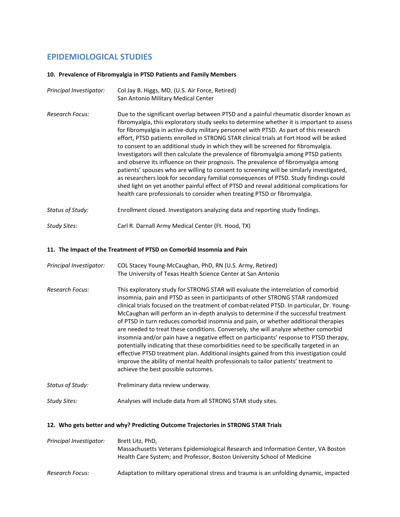## **EPIDEMIOLOGICAL STUDIES**

### **10. Prevalence of Fibromyalgia in PTSD Patients and Family Members**

| Principal Investigator: | Col Jay B. Higgs, MD, (U.S. Air Force, Retired)<br>San Antonio Military Medical Center                                                                                                                                                                                                                                                                                                                                                                                                                                                                                                                                                                                                                                                                                                                                                                                                                                                                                                                      |  |
|-------------------------|-------------------------------------------------------------------------------------------------------------------------------------------------------------------------------------------------------------------------------------------------------------------------------------------------------------------------------------------------------------------------------------------------------------------------------------------------------------------------------------------------------------------------------------------------------------------------------------------------------------------------------------------------------------------------------------------------------------------------------------------------------------------------------------------------------------------------------------------------------------------------------------------------------------------------------------------------------------------------------------------------------------|--|
| <b>Research Focus:</b>  | Due to the significant overlap between PTSD and a painful rheumatic disorder known as<br>fibromyalgia, this exploratory study seeks to determine whether it is important to assess<br>for fibromyalgia in active-duty military personnel with PTSD. As part of this research<br>effort, PTSD patients enrolled in STRONG STAR clinical trials at Fort Hood will be asked<br>to consent to an additional study in which they will be screened for fibromyalgia.<br>Investigators will then calculate the prevalence of fibromyalgia among PTSD patients<br>and observe its influence on their prognosis. The prevalence of fibromyalgia among<br>patients' spouses who are willing to consent to screening will be similarly investigated,<br>as researchers look for secondary familial consequences of PTSD. Study findings could<br>shed light on yet another painful effect of PTSD and reveal additional complications for<br>health care professionals to consider when treating PTSD or fibromyalgia. |  |
| Status of Study:        | Enrollment closed. Investigators analyzing data and reporting study findings.                                                                                                                                                                                                                                                                                                                                                                                                                                                                                                                                                                                                                                                                                                                                                                                                                                                                                                                               |  |
| Study Sites:            | Carl R. Darnall Army Medical Center (Ft. Hood, TX)                                                                                                                                                                                                                                                                                                                                                                                                                                                                                                                                                                                                                                                                                                                                                                                                                                                                                                                                                          |  |

## **11. The Impact of the Treatment of PTSD on Comorbid Insomnia and Pain**

| Principal Investigator: | COL Stacey Young-McCaughan, PhD, RN (U.S. Army, Retired)<br>The University of Texas Health Science Center at San Antonio                                                                                                                                                                                                                                                                                                                                                                                                                                                                                                                                                                                                                                                                                                                                                                                                                               |
|-------------------------|--------------------------------------------------------------------------------------------------------------------------------------------------------------------------------------------------------------------------------------------------------------------------------------------------------------------------------------------------------------------------------------------------------------------------------------------------------------------------------------------------------------------------------------------------------------------------------------------------------------------------------------------------------------------------------------------------------------------------------------------------------------------------------------------------------------------------------------------------------------------------------------------------------------------------------------------------------|
| Research Focus:         | This exploratory study for STRONG STAR will evaluate the interrelation of comorbid<br>insomnia, pain and PTSD as seen in participants of other STRONG STAR randomized<br>clinical trials focused on the treatment of combat-related PTSD. In particular, Dr. Young-<br>McCaughan will perform an in-depth analysis to determine if the successful treatment<br>of PTSD in turn reduces comorbid insomnia and pain, or whether additional therapies<br>are needed to treat these conditions. Conversely, she will analyze whether comorbid<br>insomnia and/or pain have a negative effect on participants' response to PTSD therapy,<br>potentially indicating that these comorbidities need to be specifically targeted in an<br>effective PTSD treatment plan. Additional insights gained from this investigation could<br>improve the ability of mental health professionals to tailor patients' treatment to<br>achieve the best possible outcomes. |
| Status of Study:        | Preliminary data review underway.                                                                                                                                                                                                                                                                                                                                                                                                                                                                                                                                                                                                                                                                                                                                                                                                                                                                                                                      |

# *Study Sites:* Analyses will include data from all STRONG STAR study sites.

## **12. Who gets better and why? Predicting Outcome Trajectories in STRONG STAR Trials**

| Principal Investigator: | Brett Litz, PhD,<br>Massachusetts Veterans Epidemiological Research and Information Center, VA Boston<br>Health Care System; and Professor, Boston University School of Medicine |  |
|-------------------------|----------------------------------------------------------------------------------------------------------------------------------------------------------------------------------|--|
| Research Focus:         | Adaptation to military operational stress and trauma is an unfolding dynamic, impacted                                                                                           |  |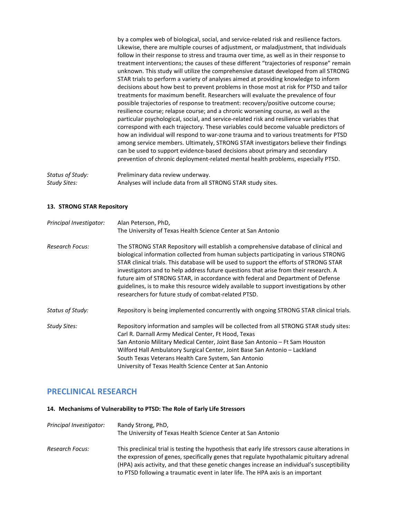by a complex web of biological, social, and service-related risk and resilience factors. Likewise, there are multiple courses of adjustment, or maladjustment, that individuals follow in their response to stress and trauma over time, as well as in their response to treatment interventions; the causes of these different "trajectories of response" remain unknown. This study will utilize the comprehensive dataset developed from all STRONG STAR trials to perform a variety of analyses aimed at providing knowledge to inform decisions about how best to prevent problems in those most at risk for PTSD and tailor treatments for maximum benefit. Researchers will evaluate the prevalence of four possible trajectories of response to treatment: recovery/positive outcome course; resilience course; relapse course; and a chronic worsening course, as well as the particular psychological, social, and service-related risk and resilience variables that correspond with each trajectory. These variables could become valuable predictors of how an individual will respond to war-zone trauma and to various treatments for PTSD among service members. Ultimately, STRONG STAR investigators believe their findings can be used to support evidence-based decisions about primary and secondary prevention of chronic deployment-related mental health problems, especially PTSD.

*Status of Study:* Preliminary data review underway. *Study Sites:* Analyses will include data from all STRONG STAR study sites.

### **13. STRONG STAR Repository**

| Principal Investigator: | Alan Peterson, PhD,                                                                                                                                                                                                                                                                                                                                                                                                                                                                                                                                                                                 |
|-------------------------|-----------------------------------------------------------------------------------------------------------------------------------------------------------------------------------------------------------------------------------------------------------------------------------------------------------------------------------------------------------------------------------------------------------------------------------------------------------------------------------------------------------------------------------------------------------------------------------------------------|
|                         | The University of Texas Health Science Center at San Antonio                                                                                                                                                                                                                                                                                                                                                                                                                                                                                                                                        |
| <b>Research Focus:</b>  | The STRONG STAR Repository will establish a comprehensive database of clinical and<br>biological information collected from human subjects participating in various STRONG<br>STAR clinical trials. This database will be used to support the efforts of STRONG STAR<br>investigators and to help address future questions that arise from their research. A<br>future aim of STRONG STAR, in accordance with federal and Department of Defense<br>guidelines, is to make this resource widely available to support investigations by other<br>researchers for future study of combat-related PTSD. |
| Status of Study:        | Repository is being implemented concurrently with ongoing STRONG STAR clinical trials.                                                                                                                                                                                                                                                                                                                                                                                                                                                                                                              |
| Study Sites:            | Repository information and samples will be collected from all STRONG STAR study sites:<br>Carl R. Darnall Army Medical Center, Ft Hood, Texas<br>San Antonio Military Medical Center, Joint Base San Antonio – Ft Sam Houston<br>Wilford Hall Ambulatory Surgical Center, Joint Base San Antonio – Lackland<br>South Texas Veterans Health Care System, San Antonio<br>University of Texas Health Science Center at San Antonio                                                                                                                                                                     |

## **PRECLINICAL RESEARCH**

### **14. Mechanisms of Vulnerability to PTSD: The Role of Early Life Stressors**

| Principal Investigator: | Randy Strong, PhD,<br>The University of Texas Health Science Center at San Antonio                                                                                                                                                                                                                                                                                            |
|-------------------------|-------------------------------------------------------------------------------------------------------------------------------------------------------------------------------------------------------------------------------------------------------------------------------------------------------------------------------------------------------------------------------|
| Research Focus:         | This preclinical trial is testing the hypothesis that early life stressors cause alterations in<br>the expression of genes, specifically genes that regulate hypothalamic pituitary adrenal<br>(HPA) axis activity, and that these genetic changes increase an individual's susceptibility<br>to PTSD following a traumatic event in later life. The HPA axis is an important |